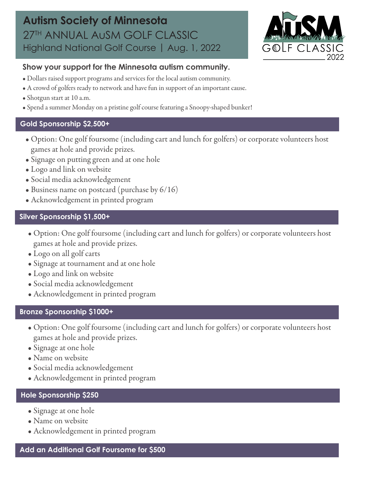

### **Show your support for the Minnesota autism community.**

- Dollars raised support programs and services for the local autism community.
- A crowd of golfers ready to network and have fun in support of an important cause.
- Shotgun start at 10 a.m.
- Spend a summer Monday on a pristine golf course featuring a Snoopy-shaped bunker!

#### **Gold Sponsorship \$2,500+**

- Option: One golf foursome (including cart and lunch for golfers) or corporate volunteers host games at hole and provide prizes.
- Signage on putting green and at one hole
- Logo and link on website
- Social media acknowledgement
- Business name on postcard (purchase by 6/16)
- Acknowledgement in printed program

## **Silver Sponsorship \$1,500+**

- Option: One golf foursome (including cart and lunch for golfers) or corporate volunteers host games at hole and provide prizes.
- Logo on all golf carts
- Signage at tournament and at one hole
- Logo and link on website
- Social media acknowledgement
- Acknowledgement in printed program

#### **Bronze Sponsorship \$1000+**

- Option: One golf foursome (including cart and lunch for golfers) or corporate volunteers host games at hole and provide prizes.
- Signage at one hole
- Name on website
- Social media acknowledgement
- Acknowledgement in printed program

## **Hole Sponsorship \$250**

- Signage at one hole
- Name on website
- Acknowledgement in printed program

#### **Add an Additional Golf Foursome for \$500**